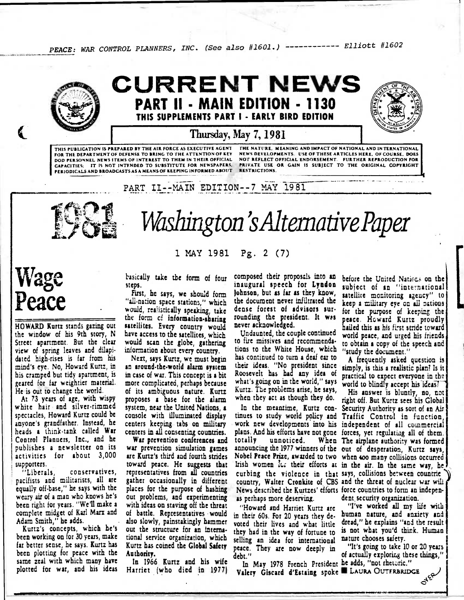PEACE: WAR CONTROL PLANNERS, INC. (See also #1601.) ------------ Elliott #1602



### **CURRENT NEWS PART II - MAIN EDITION - 1130 THIS SUPPLEMENTS PART I - EARLY BIRD EDITION**



#### **Thursday, May 7, 1981**

**PERIODICALS AND BROADCASTS AS A MEANS OF KEEPING INFORMED ABOUT THIS PUBLICATION IS PREPARED BY THE AIR FORCE AS EXECUTIVE AGENT FOR THE DEPARTMENT OF DEFENSE TO BRING TO THE ATTENTION OF KEY DOD PERSONNEL NEWS ITEMS OF INTEREST TO THEM IN THEIR OFFICIAL CAPACITIES. IT IS NOT INTENDED TO SUBSTITUTE FOR NEWSPAPERS,** 

**THE NATURE. MEANING AND IMPACT OF NATIONAL AND INTERNATIONAL NEWS DEVELOPMENTS. USE OF THESE ARTICLES HERE. OF COURSE. DOES NOT REFLECT OFFICIAL ENDORSEMENT. FURTHER REPRODUCTION FOR PRIVATE USE OR GAIN IS SUBJECT TO THE ORIGINAL COPYRIGHT RESTRICTIONS.** 

PART II--MAIN EDITION--7 MAY 1981



# IlL111 . '6. <sup>1</sup>*Washirigton'sAltemadvePaper*

**1 MAY 1981 Pg. 2 (7)** 

## **Wage Peace**

**HOWARD Kurtz stands gazing out the window of his 9th story, N Street apartment. But the clear view of spring leaves and dilapidated high-rises is far from his mind's eye. No, Howard Kurtz, in his cramped but tidy apartment, is geared for far weightier material. He is out to change the world.** 

**At 73 years of age, with wispy white hair and silver-rimmed spectacles, Howard Kurtz could be anyone's grandfather. Instead, he heads a think-tank called War Control Planners, Inc., and he publishes a newsletter on its activities for about 3,000 supporters.** 

**"Liberals, conservatives, pacifists and militarists, all are equally off-base," he says with the weary air of a man who knows he's been right for years. "We'll make a complete midget of Karl Marx and Adam Smith," he adds.** 

**Kurtz's concepts, which he's been working on for 30 years, make far better sense, he says. Kurtz has been plotting for peace with the same zeal with which many have plotted for war, and his ideas**  **basically take tbe form of four steps.** 

**First, he says, we should form "all-nation space stations," which would, rea)istically speaking, take the form cf information-sharing satellites. Every country would have access to the satellites, which would scan the globe, gathering information about every country.** 

**Next, says Kurtz, we must begin an around-the-world alarm system in case of war. This concept is a bit more complicated, perhaps because of its ambiguous nature. Kurtz proposes a base for the alarm system, near the United Nations, a console with illuminated display centers keeping tabs on military centers in all consenting countries.** 

**War prevention conferences and war prevention simulation games are Kurtz's third and fourth strides toward peace. He suggests that representatives from all countries gather occasionally in different places for the purpose of hashing out problems, and experimenting with ideas on staving off the threat of battle. Representatives would also slowly, painstakingly hammer out the structure for an international service organization, which Kurtz has coined the Global Safety Authority.** 

**In 1966 Kurtz and his wife Harriet (who died in 1977)** 

**composed their proposals into an inaugural speech for Lyndon Johnson, but as far as they know, the document never infiltrated the dense forest of advisors surrounding the president. It was never acknowledged.** 

**Undaunted, the couple continued to fire missives and recommendations to the White House, which has continued to turn a deaf ear to their ideas. "No president since Roosevelt has had any ides of what's going on in the world," says Kurtz. The problems arise, he says, when they act as though they do.** 

**In the meantime, Kurtz continues to study world policy and Traffic Control in function, work new developments into his independent of all commercial plans. And his efforts have not gone forces, yet regulatiag all of them.**  totally unnoticed. **announcing the 1977 winners of the out of desperation, Kurtz says, Nobel Peace Prize, awarded to two when 400 many collisions occurred**  Irish women its their efforts at in the air. In the same way, he **curbing the violence in that says, collisions between countrie country, Walter Cronkite of CBS and the threat of nuclear war wili News described the Kurtzes' efforts force countries to form an indepenas perhaps more deserving.** 

**"Howard and Harriet Kurtz are in their 60s. For 20 years they devoted their lives and what little they had in the way of fortune to**  selling an idea for international **peace. They are now deeply in debt."** 

In May 1978 French President he adds, "not rhetoric." In May 1978 French President he adds, "not rhetoric."<br>Valery Giscard d'Estaing spoke **a** LAURA OUTFRBRIDGE

before the United Nations on the **subject of an "international satellite monitoring agency" to keep a military** *eye* **on ail Dations for the purpose of keeping the peace. Howard Kurtz proudly hailed this as his first stride toward world peace, and urged his friends to obtain a copy of the speech and "study the document."** 

**A frequently asked question is simply, is this a realistic plan? Is it practical to expect everyone in the**  world to blindly accept his ideas?

**His answer is bluntly, no, tot right off. But Kurtz sees his Global Security Authority as sort of an Air The airplane authority was formed dent.security organization.** 

> **"I've worked all my life with human nature, and anxiety and dread," he explains "and the result is not what you'd think. Human nature chooses safety.**

**"It's going to take 10 or 20 years of actually exploring these things,"** 

**ATER** 

**4•11••••**■**•1110.11**